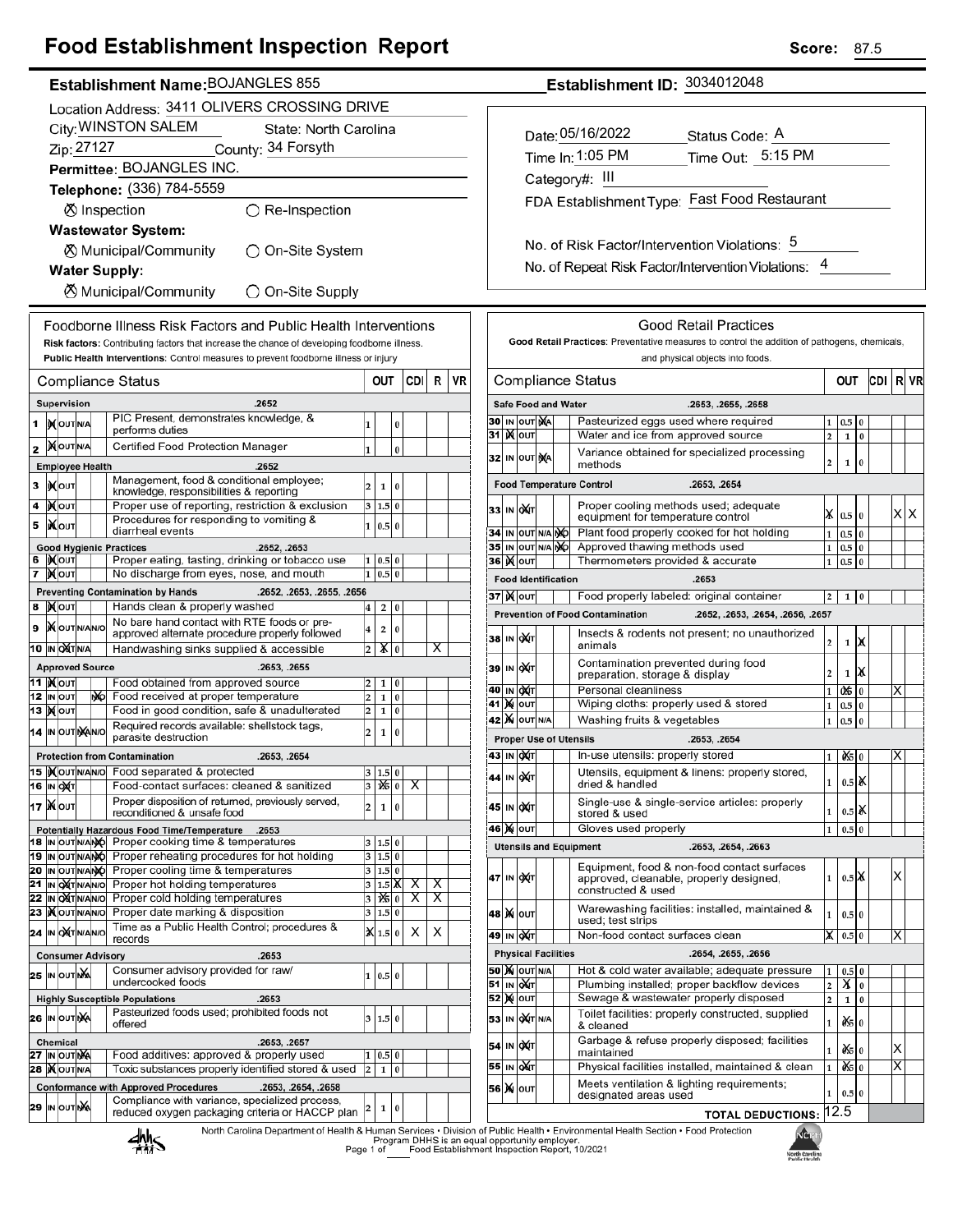# **Food Establishment Inspection Report**

| Establishment Name: BOJANGLES 855 |
|-----------------------------------|
|                                   |

|    |                                              |                                              |  |     | Location Address: 3411 OLIVERS CROSSING DRIVE                                                                        |                         |                          |   |                         |   |    |
|----|----------------------------------------------|----------------------------------------------|--|-----|----------------------------------------------------------------------------------------------------------------------|-------------------------|--------------------------|---|-------------------------|---|----|
|    | City: WINSTON SALEM<br>State: North Carolina |                                              |  |     |                                                                                                                      |                         |                          |   |                         |   |    |
|    | Zip: 27127<br>County: 34 Forsyth             |                                              |  |     |                                                                                                                      |                         |                          |   |                         |   |    |
|    |                                              |                                              |  |     | Permittee: BOJANGLES INC.                                                                                            |                         |                          |   |                         |   |    |
|    |                                              |                                              |  |     | Telephone: (336) 784-5559                                                                                            |                         |                          |   |                         |   |    |
|    |                                              |                                              |  |     | ⊗ Inspection<br>$\bigcirc$ Re-Inspection                                                                             |                         |                          |   |                         |   |    |
|    |                                              |                                              |  |     | <b>Wastewater System:</b>                                                                                            |                         |                          |   |                         |   |    |
|    |                                              |                                              |  |     | ⊗ Municipal/Community<br>)On-Site System                                                                             |                         |                          |   |                         |   |    |
|    |                                              |                                              |  |     | <b>Water Supply:</b>                                                                                                 |                         |                          |   |                         |   |    |
|    |                                              |                                              |  |     | <b>X</b> Municipal/Community<br>◯ On-Site Supply                                                                     |                         |                          |   |                         |   |    |
|    |                                              |                                              |  |     | Foodborne Illness Risk Factors and Public Health Interventions                                                       |                         |                          |   |                         |   |    |
|    |                                              |                                              |  |     | Risk factors: Contributing factors that increase the chance of developing foodborne illness.                         |                         |                          |   |                         |   |    |
|    |                                              |                                              |  |     | Public Health Interventions: Control measures to prevent foodborne illness or injury                                 |                         |                          |   |                         |   |    |
|    |                                              |                                              |  |     | Compliance Status                                                                                                    |                         | OUT                      |   | CDI                     | R | VR |
|    |                                              | Supervision                                  |  |     | .2652                                                                                                                |                         |                          |   |                         |   |    |
| 1  |                                              | <b>IX</b> OUTNA                              |  |     | PIC Present, demonstrates knowledge, &<br>performs duties                                                            | 1                       |                          | 0 |                         |   |    |
| 2  |                                              | <b>MOUTNA</b>                                |  |     | Certified Food Protection Manager                                                                                    | 1                       |                          | 0 |                         |   |    |
|    |                                              | <b>Employee Health</b>                       |  |     | .2652                                                                                                                |                         |                          |   |                         |   |    |
| 3  |                                              | <b>іχ</b> оυт                                |  |     | Management, food & conditional employee;<br>knowledge, responsibilities & reporting                                  | 2                       | 1                        | 0 |                         |   |    |
| 4  |                                              | )Х∣оυт                                       |  |     | Proper use of reporting, restriction & exclusion                                                                     | 3                       | 1.5 0                    |   |                         |   |    |
| 5  |                                              | liXlo∪т                                      |  |     | Procedures for responding to vomiting &<br>diarrheal events                                                          | 1                       | 0.5 0                    |   |                         |   |    |
| 6  |                                              | <b>IXOUT</b>                                 |  |     | <b>Good Hygienic Practices</b><br>.2652, .2653<br>Proper eating, tasting, drinking or tobacco use                    | 1                       | 0.5 0                    |   |                         |   |    |
| 7  |                                              | ∣) <b>X</b> ∣оυт                             |  |     | No discharge from eyes, nose, and mouth                                                                              | $\mathbf{1}$            | 0.5                      | 0 |                         |   |    |
|    |                                              |                                              |  |     | <b>Preventing Contamination by Hands</b><br>.2652, .2653, .2655, .2656                                               |                         |                          |   |                         |   |    |
| 8  |                                              | ∣ <b>)∢</b>  оυт                             |  |     | Hands clean & properly washed<br>No bare hand contact with RTE foods or pre-                                         | 4                       | 2                        | 0 |                         |   |    |
| 9  |                                              | <b>X</b> OUTINANO                            |  |     | approved alternate procedure properly followed                                                                       | 4                       | 2                        | 0 |                         |   |    |
|    |                                              | 10  IN OXT N/A                               |  |     | Handwashing sinks supplied & accessible                                                                              | $\overline{\mathbf{c}}$ | XI                       | 0 |                         | x |    |
|    |                                              | <b>Approved Source</b><br>11  ) <b>χ</b> ουτ |  |     | .2653, .2655<br>Food obtained from approved source                                                                   | 2                       | 1                        | 0 |                         |   |    |
|    |                                              | 12 IN OUT                                    |  | NO. | Food received at proper temperature                                                                                  | 2                       | 1                        | 0 |                         |   |    |
| 13 |                                              | <b>X</b> OUT                                 |  |     | Food in good condition, safe & unadulterated<br>Required records available: shellstock tags,                         | 2                       | 1                        | 0 |                         |   |    |
|    |                                              | 14 IN OUT NANO                               |  |     | parasite destruction                                                                                                 | 2                       | 1                        | 0 |                         |   |    |
|    |                                              |                                              |  |     | <b>Protection from Contamination</b><br>.2653, .2654                                                                 |                         |                          |   |                         |   |    |
|    |                                              | 15   OUTNANO<br>16 IN OXT                    |  |     | Food separated & protected<br>Food-contact surfaces: cleaned & sanitized                                             |                         | 1.5 0<br>$3   x_{5}   0$ |   | $\overline{\mathsf{x}}$ |   |    |
|    |                                              | <b>17 Ж</b> оит                              |  |     | Proper disposition of returned, previously served,                                                                   | 2                       | 1                        | 0 |                         |   |    |
|    |                                              |                                              |  |     | reconditioned & unsafe food<br>Potentially Hazardous Food Time/Temperature<br>.2653                                  |                         |                          |   |                         |   |    |
|    |                                              | 18  IN OUTN/ANO                              |  |     | Proper cooking time & temperatures                                                                                   | 3                       | 1.5 0                    |   |                         |   |    |
|    |                                              | <b>19  IN OUT N/ANO</b><br>20 IN OUT N/ANO   |  |     | Proper reheating procedures for hot holding<br>Proper cooling time & temperatures                                    | 3<br>3                  | 1.5 0<br>1.5 0           |   |                         |   |    |
| 21 |                                              | IN OXT N/AN/O                                |  |     | Proper hot holding temperatures                                                                                      | 3                       | $1.5\vert\text{K}$       |   | х                       | х |    |
| 22 | IN                                           | <b>OXTNANO</b><br>23   OUTNANO               |  |     | Proper cold holding temperatures<br>Proper date marking & disposition                                                | 3<br>3                  | 125 0<br>1.5 0           |   | X                       | х |    |
|    |                                              | 24 IN OXTNANO                                |  |     | Time as a Public Health Control; procedures &                                                                        | ×                       | 1.5 0                    |   | х                       | х |    |
|    |                                              | <b>Consumer Advisory</b>                     |  |     | records<br>.2653                                                                                                     |                         |                          |   |                         |   |    |
|    |                                              | 25 IN OUT NA                                 |  |     | Consumer advisory provided for raw/                                                                                  | 1                       | 0.5 0                    |   |                         |   |    |
|    |                                              |                                              |  |     | undercooked foods<br><b>Highly Susceptible Populations</b><br>.2653                                                  |                         |                          |   |                         |   |    |
|    |                                              | 26 IN OUTINA                                 |  |     | Pasteurized foods used; prohibited foods not                                                                         | 3                       | 1.5 0                    |   |                         |   |    |
|    |                                              | <b>Chemical</b>                              |  |     | offered<br>.2653, .2657                                                                                              |                         |                          |   |                         |   |    |
|    |                                              | 27 IN OUTINA                                 |  |     | Food additives: approved & properly used                                                                             | 1                       | 0.5                      | 0 |                         |   |    |
| 28 |                                              | <b>X</b> OUTINA                              |  |     | Toxic substances properly identified stored & used                                                                   | $\overline{\mathbf{c}}$ | 1                        | 0 |                         |   |    |
|    |                                              |                                              |  |     | <b>Conformance with Approved Procedures</b><br>.2653, .2654, .2658<br>Compliance with variance, specialized process, |                         |                          |   |                         |   |    |
|    |                                              | 29 IN OUT NA                                 |  |     | reduced oxygen packaging criteria or HACCP plan                                                                      | 2                       | 1                        | 0 |                         |   |    |
|    |                                              |                                              |  |     | North Carolina Denartment of Health & Human Services . Divisio<br><b><i><u>I</u></i></b>                             |                         |                          |   |                         |   |    |

## Establishment ID: 3034012048

| Date: 05/16/2022                             | Status Code: A    |
|----------------------------------------------|-------------------|
| Time In: 1:05 PM                             | Time Out: 5:15 PM |
| Category#: III                               |                   |
| FDA Establishment Type: Fast Food Restaurant |                   |
|                                              |                   |

No. of Risk Factor/Intervention Violations: 5 No. of Repeat Risk Factor/Intervention Violations: 4

|                                                         |         |                  |                                                                           |                            | Good Retail Practices<br>Good Retail Practices: Preventative measures to control the addition of pathogens, chemicals,   |                |            |                      |     |                         |    |
|---------------------------------------------------------|---------|------------------|---------------------------------------------------------------------------|----------------------------|--------------------------------------------------------------------------------------------------------------------------|----------------|------------|----------------------|-----|-------------------------|----|
|                                                         |         |                  |                                                                           |                            | and physical objects into foods.                                                                                         |                |            |                      |     |                         |    |
|                                                         |         |                  |                                                                           |                            | Compliance Status                                                                                                        | OUT            |            |                      | CDI | R                       | VR |
|                                                         |         |                  |                                                                           | <b>Safe Food and Water</b> | .2653, .2655, .2658                                                                                                      |                |            |                      |     |                         |    |
| 30                                                      |         | IN OUT NA        |                                                                           |                            | Pasteurized eggs used where required                                                                                     |                | 0.5        |                      |     |                         |    |
| 31                                                      | K       | OUT              |                                                                           |                            | Water and ice from approved source                                                                                       | 2              | 1          | 0                    |     |                         |    |
| 32                                                      | IN      | OUT              | ŊА                                                                        |                            | Variance obtained for specialized processing<br>methods                                                                  | $\overline{2}$ | 1          | 0                    |     |                         |    |
|                                                         |         |                  |                                                                           |                            | <b>Food Temperature Control</b><br>.2653, .2654                                                                          |                |            |                      |     |                         |    |
| 33                                                      | IN      | охіт             |                                                                           |                            | Proper cooling methods used; adequate<br>equipment for temperature control                                               | x              | 0.5        | $\Omega$             |     | х                       | х  |
| 34                                                      | IN      | OUT              | N/A                                                                       | NÓ                         | Plant food properly cooked for hot holding                                                                               | $\mathbf{1}$   | 0.5        | $\bf{0}$             |     |                         |    |
| 35                                                      | IN      | OUT              | N/A                                                                       | ŊЮ                         | Approved thawing methods used                                                                                            | 1              | 0.5        | 0                    |     |                         |    |
| 36                                                      | Ж       | OUT              |                                                                           |                            | Thermometers provided & accurate                                                                                         | 1              | 0.5        | 0                    |     |                         |    |
|                                                         |         |                  |                                                                           | <b>Food Identification</b> | .2653                                                                                                                    |                |            |                      |     |                         |    |
|                                                         |         | 37  )( oυτ       |                                                                           |                            | Food properly labeled: original container                                                                                | 2              | 1          | 0                    |     |                         |    |
|                                                         |         |                  |                                                                           |                            | <b>Prevention of Food Contamination</b><br>.2652, .2653, .2654, .2656, .2657                                             |                |            |                      |     |                         |    |
| 38                                                      | IN      | lo)x(⊤           |                                                                           |                            | Insects & rodents not present; no unauthorized<br>animals                                                                | 2              | 1          | Х                    |     |                         |    |
| 39                                                      |         | IN OAT           |                                                                           |                            | Contamination prevented during food<br>preparation, storage & display                                                    | $\overline{a}$ | 1          | X                    |     |                         |    |
| 40                                                      | IN      | loX∕⊓            |                                                                           |                            | Personal cleanliness                                                                                                     | 1              | 06         | 0                    |     | x                       |    |
| 41                                                      | ×       | OUT              |                                                                           |                            | Wiping cloths: properly used & stored                                                                                    | 1              | 0.5        | 0                    |     |                         |    |
| Washing fruits & vegetables<br>42<br><b>X</b> OUT N/A   |         |                  |                                                                           |                            |                                                                                                                          |                |            | $\bf{0}$             |     |                         |    |
|                                                         |         |                  |                                                                           |                            | <b>Proper Use of Utensils</b><br>.2653, .2654                                                                            |                |            |                      |     |                         |    |
| 43                                                      | IN      | <b>DXT</b>       |                                                                           |                            | In-use utensils: properly stored                                                                                         | 1              | 05         | $\bf{0}$             |     | х                       |    |
| 44                                                      | IN      | ОХІТ             |                                                                           |                            | Utensils, equipment & linens: properly stored,<br>dried & handled                                                        | 1              | 0.5        | α                    |     |                         |    |
| 45                                                      | IN      | ОДТ              |                                                                           |                            | Single-use & single-service articles: properly<br>stored & used                                                          | 1              | $_{0.5}$   | ox                   |     |                         |    |
| 46                                                      | ×       | OUT              |                                                                           |                            | Gloves used properly                                                                                                     | 1              | 0.5        | 0                    |     |                         |    |
|                                                         |         |                  |                                                                           |                            | <b>Utensils and Equipment</b><br>.2653, .2654, .2663                                                                     |                |            |                      |     |                         |    |
| 47                                                      | IN      | охт              |                                                                           |                            | Equipment, food & non-food contact surfaces<br>approved, cleanable, properly designed,<br>constructed & used             | 1              | 0.5        | IX.                  |     | Χ                       |    |
| 48                                                      |         | <b>X</b> OUT     |                                                                           |                            | Warewashing facilities: installed, maintained &<br>used; test strips                                                     | 1              | 0.5        | $\bf{0}$             |     |                         |    |
| 49                                                      |         | IN QAT           |                                                                           |                            | Non-food contact surfaces clean                                                                                          | х              | 0.5        | $\bf{0}$             |     | Х                       |    |
|                                                         |         |                  |                                                                           | <b>Physical Facilities</b> | .2654, .2655, .2656                                                                                                      |                |            |                      |     |                         |    |
| 50                                                      |         | <b>M</b> OUT N/A |                                                                           |                            | Hot & cold water available; adequate pressure                                                                            | 1              | 0.5        | 0                    |     |                         |    |
| 51                                                      | IN      | QUT              |                                                                           |                            | Plumbing installed; proper backflow devices                                                                              | $\overline{2}$ | X          | 0                    |     |                         |    |
| Sewage & wastewater properly disposed<br>52<br>X<br>OUT |         |                  |                                                                           |                            |                                                                                                                          | $\overline{2}$ | 1          | $\bf{0}$             |     |                         |    |
| 53                                                      | IN      |                  | Toilet facilities: properly constructed, supplied<br>OXT N/A<br>& cleaned |                            |                                                                                                                          |                |            |                      |     |                         |    |
| 54                                                      | IN      | охт              |                                                                           |                            | Garbage & refuse properly disposed; facilities<br>maintained                                                             | 1              | œ.         | 0                    |     | х<br>$\overline{\sf x}$ |    |
| 55<br>56                                                | IN<br>M | одт<br>OUT       |                                                                           |                            | Physical facilities installed, maintained & clean<br>Meets ventilation & lighting requirements;<br>designated areas used | 1<br>1         | òś5<br>0.5 | $\bf{0}$<br>$\bf{0}$ |     |                         |    |
|                                                         |         |                  |                                                                           |                            |                                                                                                                          |                |            |                      |     |                         |    |
|                                                         |         |                  |                                                                           |                            | <b>TOTAL DEDUCTIONS:</b><br>of Public Health . Environmental Health Section . Eood Protection                            |                | 12.5       |                      |     |                         |    |



alth & Human Services • Division of Public Health • Environmenta<br>Program DHHS is an equal opportunity employer.<br>Page 1 of \_\_\_\_\_\_\_Food Establishment Inspection Report, 10/2021



87.5

Score: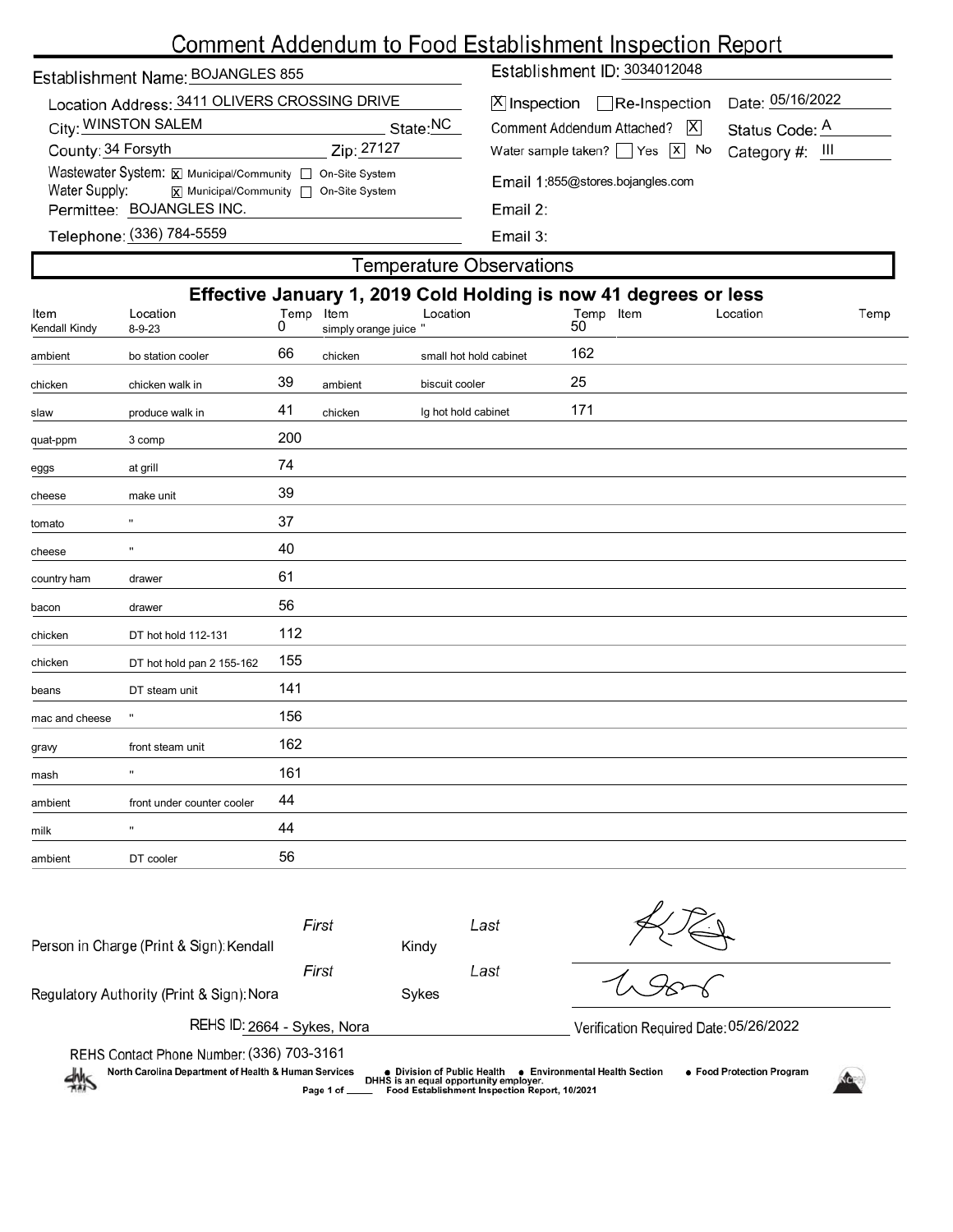# Comment Addendum to Food Establishment Inspection Report

| Establishment Name: BOJANGLES 855 |  |
|-----------------------------------|--|
|                                   |  |

| Location Address: 3411 OLIVERS CROSSING DRIVE                                                  |                      |
|------------------------------------------------------------------------------------------------|----------------------|
| City: WINSTON SALEM                                                                            | State: <sup>NC</sup> |
| County: 34 Forsyth                                                                             | Zip: 27127           |
| Wastewater System: X Municipal/Community   On-Site System                                      |                      |
| Water Supply:<br>$\boxed{\mathsf{x}}$ Municipal/Community $\boxed{\phantom{a}}$ On-Site System |                      |
| Permittee: BOJANGLES INC.                                                                      |                      |
| $T_{\text{eff}}$ = $\sim$ (226) 704 5550                                                       |                      |

Establishment ID: 3034012048

| X  Inspection   Re-Inspection Date: 05/16/2022 |  |
|------------------------------------------------|--|
| Comment Addendum Attached?   X Status Code: A  |  |
| Water sample taken? Yes X No Category #: III   |  |

Email 1:855@stores.bojangles.com

Telephone: <u>(</u>336) 784-5559

Email 3:

# **Temperature Observations** Effective January 1, 2019 Cold Holding is now 41 degrees or less Location Temp Item Location Temp Item<br>
8-9-23 0 simply orange juice " 50 Location Location Item Temp Kendall Kindy ambient bo station cooler 66 chicken small hot hold cabinet 162 chicken chicken walk in 39 ambient biscuit cooler 25 slaw produce walk in 41 chicken lg hot hold cabinet 171 quat-ppm 3 comp 200 eggs at grill and the method of  $\overline{74}$ cheese make unit 39 tomato '' 37 cheese '' 40 country ham drawer 61 bacon drawer 56 chicken DT hot hold 112-131 112 chicken DT hot hold pan 2 155-162 155 beans DT steam unit 141 mac and cheese " 156 gravy front steam unit 162 mash '' 161 ambient front under counter cooler 44 milk '' 44 ambient DT cooler 56

| Person in Charge (Print & Sign): Kendall                               | First        | Kindy                                      | Last                                                                                    |                                |                                        |  |
|------------------------------------------------------------------------|--------------|--------------------------------------------|-----------------------------------------------------------------------------------------|--------------------------------|----------------------------------------|--|
|                                                                        | First        |                                            | Last                                                                                    |                                |                                        |  |
| Regulatory Authority (Print & Sign): Nora                              |              | Sykes                                      |                                                                                         |                                |                                        |  |
| REHS ID: 2664 - Sykes, Nora                                            |              |                                            |                                                                                         |                                | Verification Required Date: 05/26/2022 |  |
| REHS Contact Phone Number: (336) 703-3161                              |              |                                            |                                                                                         |                                |                                        |  |
| North Carolina Department of Health & Human Services<br>$\frac{2m}{2}$ | Page 1 of __ | $\bullet\,$ Division of Public Health $\,$ | DHHS is an equal opportunity employer.<br>Food Establishment Inspection Report, 10/2021 | ● Environmental Health Section | ● Food Protection Program              |  |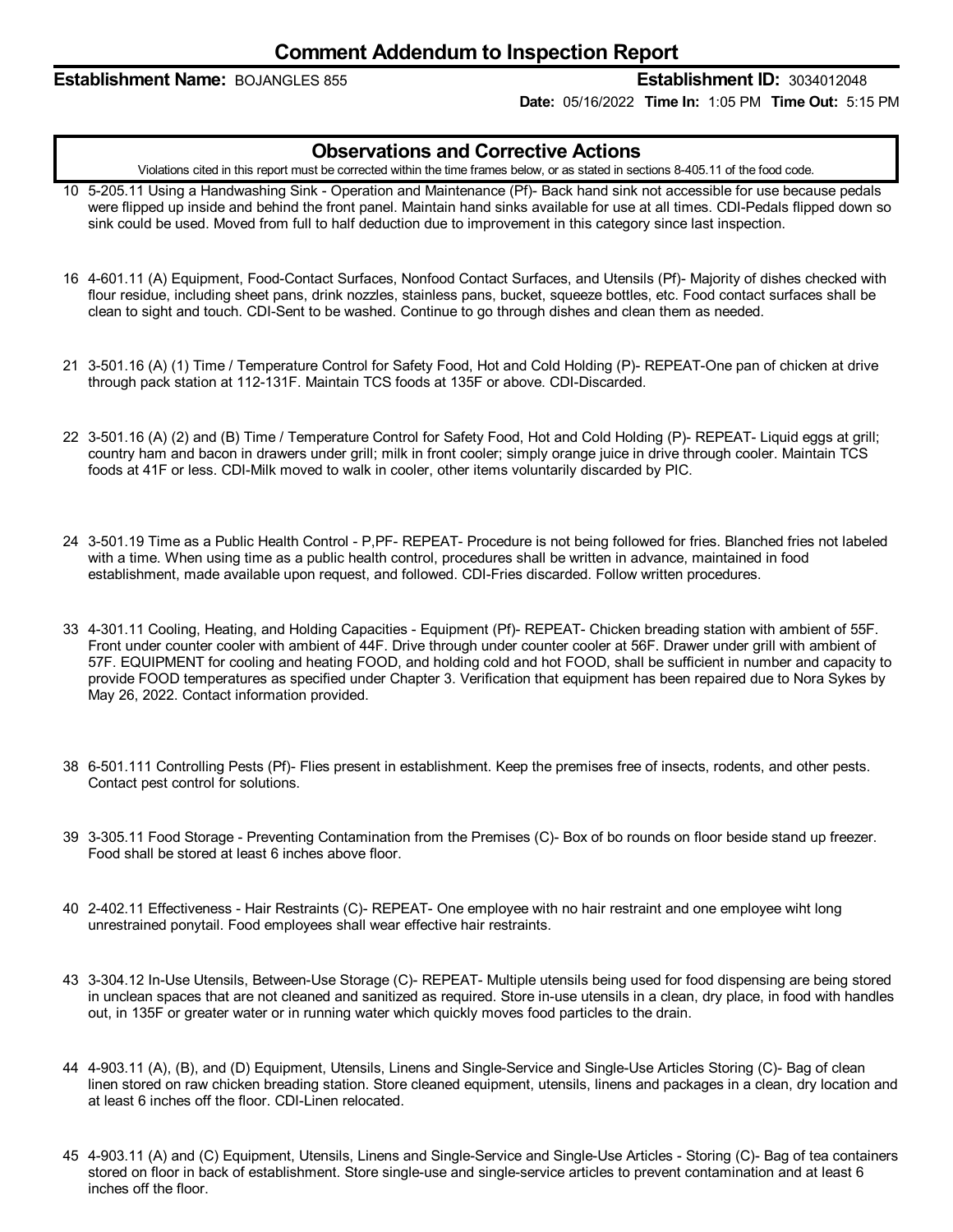### **Establishment Name:** BOJANGLES 855 **Establishment ID:** 3034012048

**Date:** 05/16/2022 **Time In:** 1:05 PM **Time Out:** 5:15 PM

### **Observations and Corrective Actions**

Violations cited in this report must be corrected within the time frames below, or as stated in sections 8-405.11 of the food code.

- 10 5-205.11 Using a Handwashing Sink Operation and Maintenance (Pf)- Back hand sink not accessible for use because pedals were flipped up inside and behind the front panel. Maintain hand sinks available for use at all times. CDI-Pedals flipped down so sink could be used. Moved from full to half deduction due to improvement in this category since last inspection.
- 16 4-601.11 (A) Equipment, Food-Contact Surfaces, Nonfood Contact Surfaces, and Utensils (Pf)- Majority of dishes checked with flour residue, including sheet pans, drink nozzles, stainless pans, bucket, squeeze bottles, etc. Food contact surfaces shall be clean to sight and touch. CDI-Sent to be washed. Continue to go through dishes and clean them as needed.
- 21 3-501.16 (A) (1) Time / Temperature Control for Safety Food, Hot and Cold Holding (P)- REPEAT-One pan of chicken at drive through pack station at 112-131F. Maintain TCS foods at 135F or above. CDI-Discarded.
- 22 3-501.16 (A) (2) and (B) Time / Temperature Control for Safety Food, Hot and Cold Holding (P)- REPEAT- Liquid eggs at grill; country ham and bacon in drawers under grill; milk in front cooler; simply orange juice in drive through cooler. Maintain TCS foods at 41F or less. CDI-Milk moved to walk in cooler, other items voluntarily discarded by PIC.
- 24 3-501.19 Time as a Public Health Control P,PF- REPEAT- Procedure is not being followed for fries. Blanched fries not labeled with a time. When using time as a public health control, procedures shall be written in advance, maintained in food establishment, made available upon request, and followed. CDI-Fries discarded. Follow written procedures.
- 33 4-301.11 Cooling, Heating, and Holding Capacities Equipment (Pf)- REPEAT- Chicken breading station with ambient of 55F. Front under counter cooler with ambient of 44F. Drive through under counter cooler at 56F. Drawer under grill with ambient of 57F. EQUIPMENT for cooling and heating FOOD, and holding cold and hot FOOD, shall be sufficient in number and capacity to provide FOOD temperatures as specified under Chapter 3. Verification that equipment has been repaired due to Nora Sykes by May 26, 2022. Contact information provided.
- 38 6-501.111 Controlling Pests (Pf)- Flies present in establishment. Keep the premises free of insects, rodents, and other pests. Contact pest control for solutions.
- 39 3-305.11 Food Storage Preventing Contamination from the Premises (C)- Box of bo rounds on floor beside stand up freezer. Food shall be stored at least 6 inches above floor.
- 40 2-402.11 Effectiveness -Hair Restraints (C)- REPEAT- One employee with no hair restraint and one employee wiht long unrestrained ponytail. Food employees shall wear effective hair restraints.
- 43 3-304.12 In-Use Utensils, Between-Use Storage (C)- REPEAT- Multiple utensils being used for food dispensing are being stored in unclean spaces that are not cleaned and sanitized as required. Store in-use utensils in a clean, dry place, in food with handles out, in 135F or greater water or in running water which quickly moves food particles to the drain.
- 44 4-903.11 (A), (B), and (D) Equipment, Utensils, Linens and Single-Service and Single-Use Articles Storing (C)- Bag of clean linen stored on raw chicken breading station. Store cleaned equipment, utensils, linens and packages in a clean, dry location and at least 6 inches off the floor. CDI-Linen relocated.
- 45 4-903.11 (A) and (C) Equipment, Utensils, Linens and Single-Service and Single-Use Articles Storing (C)- Bag of tea containers stored on floor in back of establishment. Store single-use and single-service articles to prevent contamination and at least 6 inches off the floor.